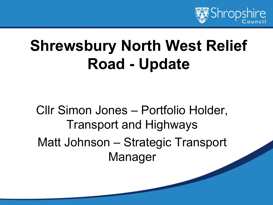

## **Shrewsbury North West Relief Road - Update**

Cllr Simon Jones – Portfolio Holder, Transport and Highways Matt Johnson – Strategic Transport Manager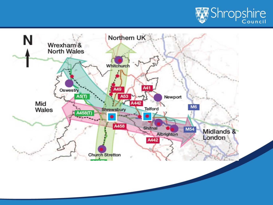

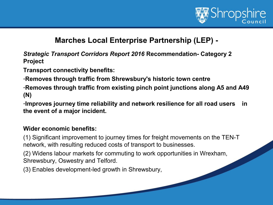

#### **Marches Local Enterprise Partnership (LEP) -**

*Strategic Transport Corridors Report 2016* **Recommendation- Category 2 Project**

**Transport connectivity benefits:**

-**Removes through traffic from Shrewsbury's historic town centre**

-**Removes through traffic from existing pinch point junctions along A5 and A49 (N)**

-**Improves journey time reliability and network resilience for all road users in the event of a major incident.**

#### **Wider economic benefits:**

(1) Significant improvement to journey times for freight movements on the TEN-T network, with resulting reduced costs of transport to businesses.

(2) Widens labour markets for commuting to work opportunities in Wrexham, Shrewsbury, Oswestry and Telford.

(3) Enables development-led growth in Shrewsbury,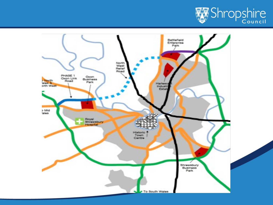

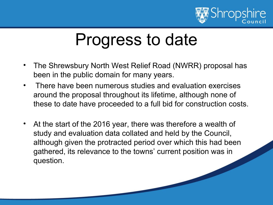

## Progress to date

- The Shrewsbury North West Relief Road (NWRR) proposal has been in the public domain for many years.
- There have been numerous studies and evaluation exercises around the proposal throughout its lifetime, although none of these to date have proceeded to a full bid for construction costs.
- At the start of the 2016 year, there was therefore a wealth of study and evaluation data collated and held by the Council, although given the protracted period over which this had been gathered, its relevance to the towns' current position was in question.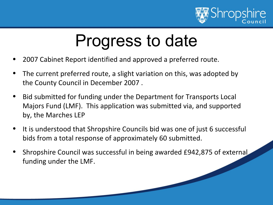

# Progress to date

- 2007 Cabinet Report identified and approved a preferred route.
- The current preferred route, a slight variation on this, was adopted by the County Council in December 2007 .
- Bid submitted for funding under the Department for Transports Local Majors Fund (LMF). This application was submitted via, and supported by, the Marches LEP
- It is understood that Shropshire Councils bid was one of just 6 successful bids from a total response of approximately 60 submitted.
- Shropshire Council was successful in being awarded £942,875 of external funding under the LMF.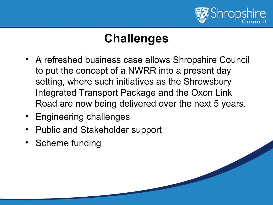

## **Challenges**

- A refreshed business case allows Shropshire Council to put the concept of a NWRR into a present day setting, where such initiatives as the Shrewsbury Integrated Transport Package and the Oxon Link Road are now being delivered over the next 5 years.
- Engineering challenges
- Public and Stakeholder support
- Scheme funding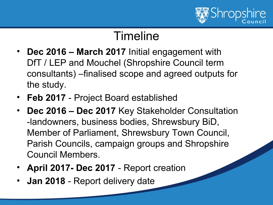

#### Timeline

- **Dec 2016 March 2017** Initial engagement with DfT / LEP and Mouchel (Shropshire Council term consultants) –finalised scope and agreed outputs for the study.
- **Feb 2017**  Project Board established
- **Dec 2016 Dec 2017** Key Stakeholder Consultation -landowners, business bodies, Shrewsbury BiD, Member of Parliament, Shrewsbury Town Council, Parish Councils, campaign groups and Shropshire Council Members.
- **April 2017- Dec 2017**  Report creation
- **Jan 2018** Report delivery date